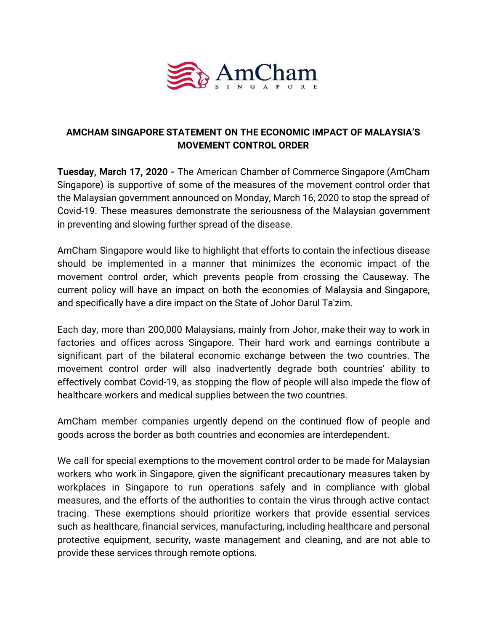

## **AMCHAM SINGAPORE STATEMENT ON THE ECONOMIC IMPACT OF MALAYSIA'S MOVEMENT CONTROL ORDER**

**Tuesday, March 17, 2020 -** The American Chamber of Commerce Singapore (AmCham Singapore) is supportive of some of the measures of the movement control order that the Malaysian government announced on Monday, March 16, 2020 to stop the spread of Covid-19. These measures demonstrate the seriousness of the Malaysian government in preventing and slowing further spread of the disease.

AmCham Singapore would like to highlight that efforts to contain the infectious disease should be implemented in a manner that minimizes the economic impact of the movement control order, which prevents people from crossing the Causeway. The current policy will have an impact on both the economies of Malaysia and Singapore, and specifically have a dire impact on the State of Johor Darul Ta'zim.

Each day, more than 200,000 Malaysians, mainly from Johor, make their way to work in factories and offices across Singapore. Their hard work and earnings contribute a significant part of the bilateral economic exchange between the two countries. The movement control order will also inadvertently degrade both countries' ability to effectively combat Covid-19, as stopping the flow of people will also impede the flow of healthcare workers and medical supplies between the two countries.

AmCham member companies urgently depend on the continued flow of people and goods across the border as both countries and economies are interdependent.

We call for special exemptions to the movement control order to be made for Malaysian workers who work in Singapore, given the significant precautionary measures taken by workplaces in Singapore to run operations safely and in compliance with global measures, and the efforts of the authorities to contain the virus through active contact tracing. These exemptions should prioritize workers that provide essential services such as healthcare, financial services, manufacturing, including healthcare and personal protective equipment, security, waste management and cleaning, and are not able to provide these services through remote options.